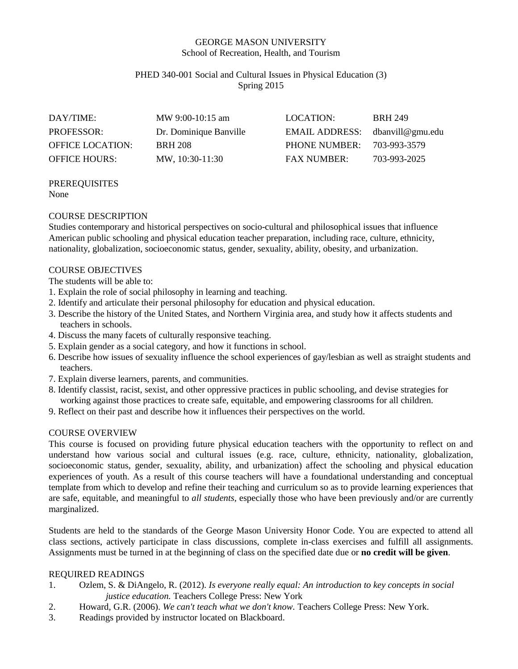#### GEORGE MASON UNIVERSITY School of Recreation, Health, and Tourism

#### PHED 340-001 Social and Cultural Issues in Physical Education (3) Spring 2015

| DAY/TIME:               | MW 9:00-10:15 am       | LOCATION:                       | <b>BRH 249</b> |
|-------------------------|------------------------|---------------------------------|----------------|
| <b>PROFESSOR:</b>       | Dr. Dominique Banville | EMAIL ADDRESS: dbanvill@gmu.edu |                |
| <b>OFFICE LOCATION:</b> | <b>BRH 208</b>         | PHONE NUMBER:                   | 703-993-3579   |
| <b>OFFICE HOURS:</b>    | MW, 10:30-11:30        | <b>FAX NUMBER:</b>              | 703-993-2025   |

#### PREREQUISITES None

#### COURSE DESCRIPTION

Studies contemporary and historical perspectives on socio-cultural and philosophical issues that influence American public schooling and physical education teacher preparation, including race, culture, ethnicity, nationality, globalization, socioeconomic status, gender, sexuality, ability, obesity, and urbanization.

#### COURSE OBJECTIVES

The students will be able to:

- 1. Explain the role of social philosophy in learning and teaching.
- 2. Identify and articulate their personal philosophy for education and physical education.
- 3. Describe the history of the United States, and Northern Virginia area, and study how it affects students and teachers in schools.
- 4. Discuss the many facets of culturally responsive teaching.
- 5. Explain gender as a social category, and how it functions in school.
- 6. Describe how issues of sexuality influence the school experiences of gay/lesbian as well as straight students and teachers.
- 7. Explain diverse learners, parents, and communities.
- 8. Identify classist, racist, sexist, and other oppressive practices in public schooling, and devise strategies for working against those practices to create safe, equitable, and empowering classrooms for all children.
- 9. Reflect on their past and describe how it influences their perspectives on the world.

#### COURSE OVERVIEW

This course is focused on providing future physical education teachers with the opportunity to reflect on and understand how various social and cultural issues (e.g. race, culture, ethnicity, nationality, globalization, socioeconomic status, gender, sexuality, ability, and urbanization) affect the schooling and physical education experiences of youth. As a result of this course teachers will have a foundational understanding and conceptual template from which to develop and refine their teaching and curriculum so as to provide learning experiences that are safe, equitable, and meaningful to *all students,* especially those who have been previously and/or are currently marginalized.

Students are held to the standards of the George Mason University Honor Code. You are expected to attend all class sections, actively participate in class discussions, complete in-class exercises and fulfill all assignments. Assignments must be turned in at the beginning of class on the specified date due or **no credit will be given**.

#### REQUIRED READINGS

- 1. Ozlem, S. & DiAngelo, R. (2012). *Is everyone really equal: An introduction to key concepts in social justice education.* Teachers College Press: New York
- 2. Howard, G.R. (2006). *We can't teach what we don't know.* Teachers College Press: New York.
- 3. Readings provided by instructor located on Blackboard.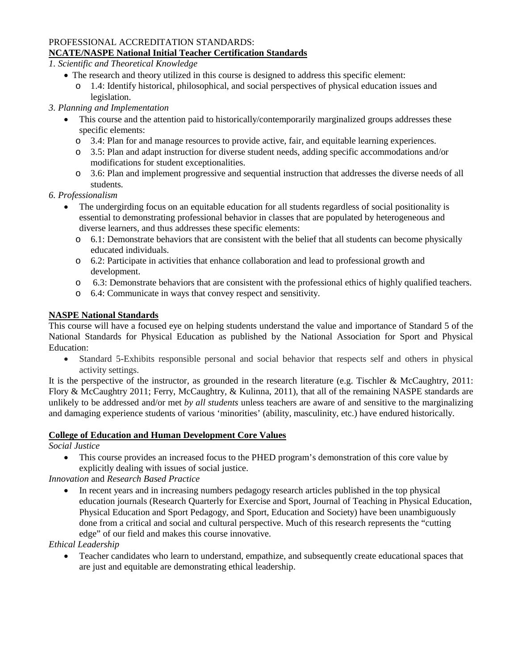# PROFESSIONAL ACCREDITATION STANDARDS:

## **NCATE/NASPE National Initial Teacher Certification Standards**

*1. Scientific and Theoretical Knowledge*

- The research and theory utilized in this course is designed to address this specific element:
	- o 1.4: Identify historical, philosophical, and social perspectives of physical education issues and legislation.

## *3. Planning and Implementation*

- This course and the attention paid to historically/contemporarily marginalized groups addresses these specific elements:
	- o 3.4: Plan for and manage resources to provide active, fair, and equitable learning experiences.
	- o 3.5: Plan and adapt instruction for diverse student needs, adding specific accommodations and/or modifications for student exceptionalities.
	- o 3.6: Plan and implement progressive and sequential instruction that addresses the diverse needs of all students.

## *6. Professionalism*

- The undergirding focus on an equitable education for all students regardless of social positionality is essential to demonstrating professional behavior in classes that are populated by heterogeneous and diverse learners, and thus addresses these specific elements:
	- $\circ$  6.1: Demonstrate behaviors that are consistent with the belief that all students can become physically educated individuals.
	- o 6.2: Participate in activities that enhance collaboration and lead to professional growth and development.
	- o 6.3: Demonstrate behaviors that are consistent with the professional ethics of highly qualified teachers.
	- o 6.4: Communicate in ways that convey respect and sensitivity.

## **NASPE National Standards**

This course will have a focused eye on helping students understand the value and importance of Standard 5 of the National Standards for Physical Education as published by the National Association for Sport and Physical Education:

• Standard 5-Exhibits responsible personal and social behavior that respects self and others in physical activity settings.

It is the perspective of the instructor, as grounded in the research literature (e.g. Tischler & McCaughtry, 2011: Flory & McCaughtry 2011; Ferry, McCaughtry, & Kulinna, 2011), that all of the remaining NASPE standards are unlikely to be addressed and/or met *by all students* unless teachers are aware of and sensitive to the marginalizing and damaging experience students of various 'minorities' (ability, masculinity, etc.) have endured historically.

## **College of Education and Human Development Core Values**

*Social Justice*

• This course provides an increased focus to the PHED program's demonstration of this core value by explicitly dealing with issues of social justice.

## *Innovation* and *Research Based Practice*

• In recent years and in increasing numbers pedagogy research articles published in the top physical education journals (Research Quarterly for Exercise and Sport, Journal of Teaching in Physical Education, Physical Education and Sport Pedagogy, and Sport, Education and Society) have been unambiguously done from a critical and social and cultural perspective. Much of this research represents the "cutting edge" of our field and makes this course innovative.

## *Ethical Leadership*

• Teacher candidates who learn to understand, empathize, and subsequently create educational spaces that are just and equitable are demonstrating ethical leadership.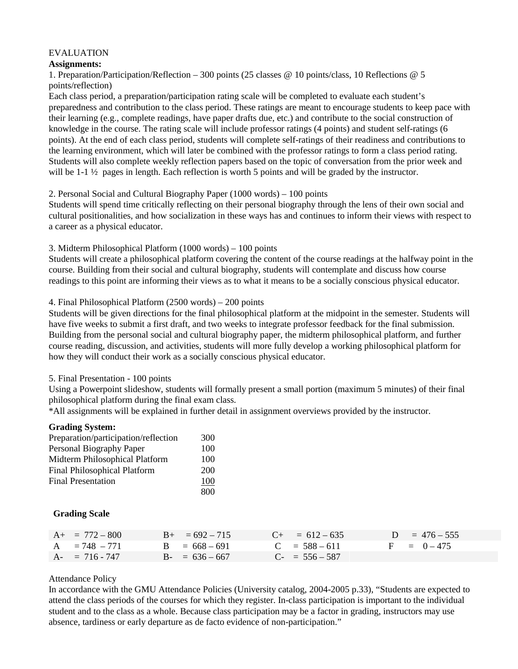#### EVALUATION

#### **Assignments:**

1. Preparation/Participation/Reflection – 300 points (25 classes @ 10 points/class, 10 Reflections @ 5 points/reflection)

Each class period, a preparation/participation rating scale will be completed to evaluate each student's preparedness and contribution to the class period. These ratings are meant to encourage students to keep pace with their learning (e.g., complete readings, have paper drafts due, etc.) and contribute to the social construction of knowledge in the course. The rating scale will include professor ratings (4 points) and student self-ratings (6 points). At the end of each class period, students will complete self-ratings of their readiness and contributions to the learning environment, which will later be combined with the professor ratings to form a class period rating. Students will also complete weekly reflection papers based on the topic of conversation from the prior week and will be 1-1  $\frac{1}{2}$  pages in length. Each reflection is worth 5 points and will be graded by the instructor.

#### 2. Personal Social and Cultural Biography Paper (1000 words) – 100 points

Students will spend time critically reflecting on their personal biography through the lens of their own social and cultural positionalities, and how socialization in these ways has and continues to inform their views with respect to a career as a physical educator.

#### 3. Midterm Philosophical Platform (1000 words) – 100 points

Students will create a philosophical platform covering the content of the course readings at the halfway point in the course. Building from their social and cultural biography, students will contemplate and discuss how course readings to this point are informing their views as to what it means to be a socially conscious physical educator.

#### 4. Final Philosophical Platform (2500 words) – 200 points

Students will be given directions for the final philosophical platform at the midpoint in the semester. Students will have five weeks to submit a first draft, and two weeks to integrate professor feedback for the final submission. Building from the personal social and cultural biography paper, the midterm philosophical platform, and further course reading, discussion, and activities, students will more fully develop a working philosophical platform for how they will conduct their work as a socially conscious physical educator.

#### 5. Final Presentation - 100 points

Using a Powerpoint slideshow, students will formally present a small portion (maximum 5 minutes) of their final philosophical platform during the final exam class.

\*All assignments will be explained in further detail in assignment overviews provided by the instructor.

#### **Grading System:**

| Preparation/participation/reflection | 300 |
|--------------------------------------|-----|
| Personal Biography Paper             | 100 |
| Midterm Philosophical Platform       | 100 |
| <b>Final Philosophical Platform</b>  | 200 |
| <b>Final Presentation</b>            | 100 |
|                                      | 800 |

#### **Grading Scale**

| $A_{+}$ = 772 – 800 | $B_{+} = 692 - 715$ | $C_{+}$ = 612 – 635 | $D = 476 - 555$ |
|---------------------|---------------------|---------------------|-----------------|
| $A = 748 - 771$     | $B = 668 - 691$     | $C = 588 - 611$     | $F = 0 - 475$   |
| $A - 716 - 747$     | $B - 636 - 667$     | $C_{-}$ = 556 - 587 |                 |

#### Attendance Policy

In accordance with the GMU Attendance Policies (University catalog, 2004-2005 p.33), "Students are expected to attend the class periods of the courses for which they register. In-class participation is important to the individual student and to the class as a whole. Because class participation may be a factor in grading, instructors may use absence, tardiness or early departure as de facto evidence of non-participation."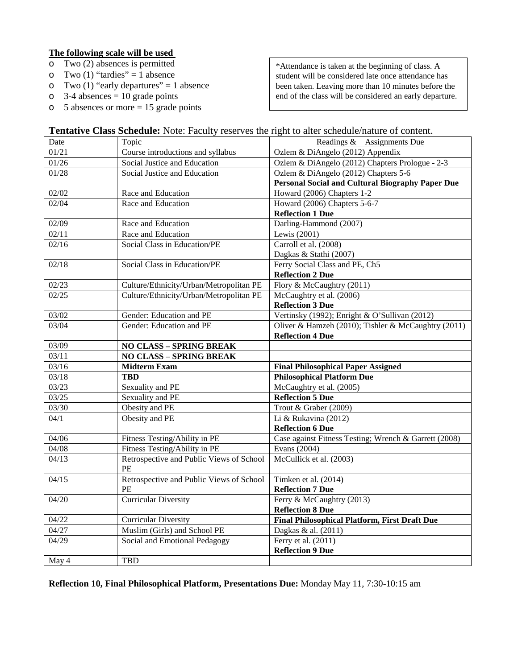#### **The following scale will be used**

- o Two (2) absences is permitted
- o Two (1) "tardies" = 1 absence<br>
o Two (1) "early departures" = 1
- o Two (1) "early departures" = 1 absence<br>  $\circ$  3-4 absences = 10 grade points
- o 3-4 absences = 10 grade points<br>
o 5 absences or more = 15 grade
- 5 absences or more  $= 15$  grade points

\*Attendance is taken at the beginning of class. A student will be considered late once attendance has been taken. Leaving more than 10 minutes before the end of the class will be considered an early departure.

| Date  | Topic                                    | Readings & Assignments Due                            |
|-------|------------------------------------------|-------------------------------------------------------|
| 01/21 | Course introductions and syllabus        | Ozlem & DiAngelo (2012) Appendix                      |
| 01/26 | Social Justice and Education             | Ozlem & DiAngelo (2012) Chapters Prologue - 2-3       |
| 01/28 | Social Justice and Education             | Ozlem & DiAngelo (2012) Chapters 5-6                  |
|       |                                          | Personal Social and Cultural Biography Paper Due      |
| 02/02 | Race and Education                       | Howard (2006) Chapters 1-2                            |
| 02/04 | Race and Education                       | Howard (2006) Chapters 5-6-7                          |
|       |                                          | <b>Reflection 1 Due</b>                               |
| 02/09 | Race and Education                       | Darling-Hammond (2007)                                |
| 02/11 | Race and Education                       | Lewis (2001)                                          |
| 02/16 | Social Class in Education/PE             | Carroll et al. (2008)                                 |
|       |                                          | Dagkas & Stathi (2007)                                |
| 02/18 | Social Class in Education/PE             | Ferry Social Class and PE, Ch5                        |
|       |                                          | <b>Reflection 2 Due</b>                               |
| 02/23 | Culture/Ethnicity/Urban/Metropolitan PE  | Flory & McCaughtry (2011)                             |
| 02/25 | Culture/Ethnicity/Urban/Metropolitan PE  | McCaughtry et al. (2006)                              |
|       |                                          | <b>Reflection 3 Due</b>                               |
| 03/02 | Gender: Education and PE                 | Vertinsky (1992); Enright & O'Sullivan (2012)         |
| 03/04 | Gender: Education and PE                 | Oliver & Hamzeh (2010); Tishler & McCaughtry (2011)   |
|       |                                          | <b>Reflection 4 Due</b>                               |
| 03/09 | <b>NO CLASS - SPRING BREAK</b>           |                                                       |
|       |                                          |                                                       |
| 03/11 | <b>NO CLASS - SPRING BREAK</b>           |                                                       |
| 03/16 | <b>Midterm Exam</b>                      | <b>Final Philosophical Paper Assigned</b>             |
| 03/18 | <b>TBD</b>                               | <b>Philosophical Platform Due</b>                     |
| 03/23 | Sexuality and PE                         | McCaughtry et al. (2005)                              |
| 03/25 | Sexuality and PE                         | <b>Reflection 5 Due</b>                               |
| 03/30 | Obesity and PE                           | Trout & Graber (2009)                                 |
| 04/1  | Obesity and PE                           | Li & Rukavina (2012)                                  |
|       |                                          | <b>Reflection 6 Due</b>                               |
| 04/06 | Fitness Testing/Ability in PE            | Case against Fitness Testing; Wrench & Garrett (2008) |
| 04/08 | Fitness Testing/Ability in PE            | Evans (2004)                                          |
| 04/13 | Retrospective and Public Views of School | McCullick et al. (2003)                               |
|       | PE                                       |                                                       |
| 04/15 | Retrospective and Public Views of School | Timken et al. (2014)                                  |
|       | PE                                       | <b>Reflection 7 Due</b>                               |
| 04/20 | <b>Curricular Diversity</b>              | Ferry & McCaughtry (2013)                             |
|       |                                          | <b>Reflection 8 Due</b>                               |
| 04/22 | <b>Curricular Diversity</b>              | <b>Final Philosophical Platform, First Draft Due</b>  |
| 04/27 | Muslim (Girls) and School PE             | Dagkas & al. (2011)                                   |
| 04/29 | Social and Emotional Pedagogy            | Ferry et al. $(2011)$                                 |
| May 4 | TBD                                      | <b>Reflection 9 Due</b>                               |

**Reflection 10, Final Philosophical Platform, Presentations Due:** Monday May 11, 7:30-10:15 am